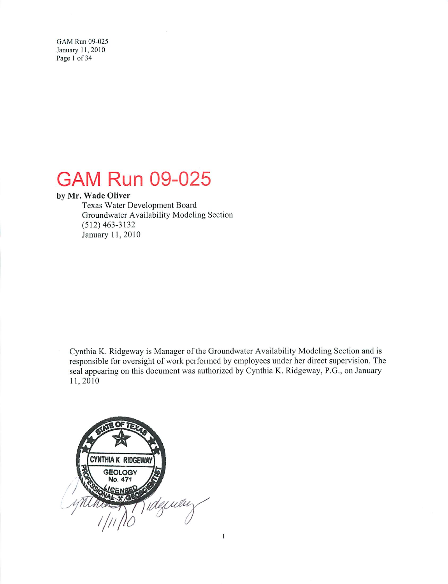GAM Run 09-025 January 11, 2010 Page 1 of 34

# **GAM Run 09-025**

#### by Mr. Wade Oliver

Texas Water Development Board Groundwater Availability Modeling Section  $(512)$  463-3132 January 11, 2010

Cynthia K. Ridgeway is Manager of the Groundwater Availability Modeling Section and is responsible for oversight of work performed by employees under her direct supervision. The seal appearing on this document was authorized by Cynthia K. Ridgeway, P.G., on January 11,2010

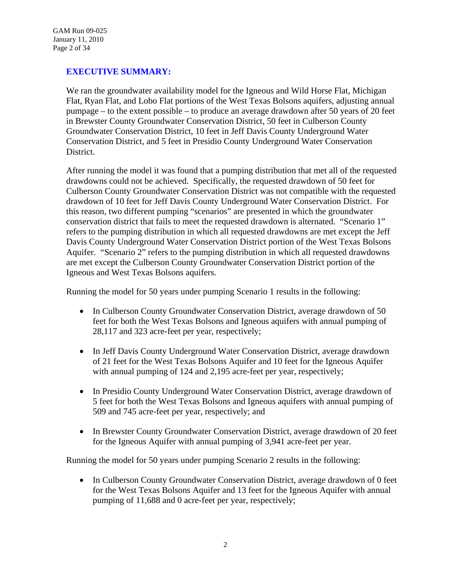## **EXECUTIVE SUMMARY:**

We ran the groundwater availability model for the Igneous and Wild Horse Flat, Michigan Flat, Ryan Flat, and Lobo Flat portions of the West Texas Bolsons aquifers, adjusting annual pumpage – to the extent possible – to produce an average drawdown after 50 years of 20 feet in Brewster County Groundwater Conservation District, 50 feet in Culberson County Groundwater Conservation District, 10 feet in Jeff Davis County Underground Water Conservation District, and 5 feet in Presidio County Underground Water Conservation District.

After running the model it was found that a pumping distribution that met all of the requested drawdowns could not be achieved. Specifically, the requested drawdown of 50 feet for Culberson County Groundwater Conservation District was not compatible with the requested drawdown of 10 feet for Jeff Davis County Underground Water Conservation District. For this reason, two different pumping "scenarios" are presented in which the groundwater conservation district that fails to meet the requested drawdown is alternated. "Scenario 1" refers to the pumping distribution in which all requested drawdowns are met except the Jeff Davis County Underground Water Conservation District portion of the West Texas Bolsons Aquifer. "Scenario 2" refers to the pumping distribution in which all requested drawdowns are met except the Culberson County Groundwater Conservation District portion of the Igneous and West Texas Bolsons aquifers.

Running the model for 50 years under pumping Scenario 1 results in the following:

- In Culberson County Groundwater Conservation District, average drawdown of 50 feet for both the West Texas Bolsons and Igneous aquifers with annual pumping of 28,117 and 323 acre-feet per year, respectively;
- In Jeff Davis County Underground Water Conservation District, average drawdown of 21 feet for the West Texas Bolsons Aquifer and 10 feet for the Igneous Aquifer with annual pumping of 124 and 2,195 acre-feet per year, respectively;
- In Presidio County Underground Water Conservation District, average drawdown of 5 feet for both the West Texas Bolsons and Igneous aquifers with annual pumping of 509 and 745 acre-feet per year, respectively; and
- In Brewster County Groundwater Conservation District, average drawdown of 20 feet for the Igneous Aquifer with annual pumping of 3,941 acre-feet per year.

Running the model for 50 years under pumping Scenario 2 results in the following:

• In Culberson County Groundwater Conservation District, average drawdown of 0 feet for the West Texas Bolsons Aquifer and 13 feet for the Igneous Aquifer with annual pumping of 11,688 and 0 acre-feet per year, respectively;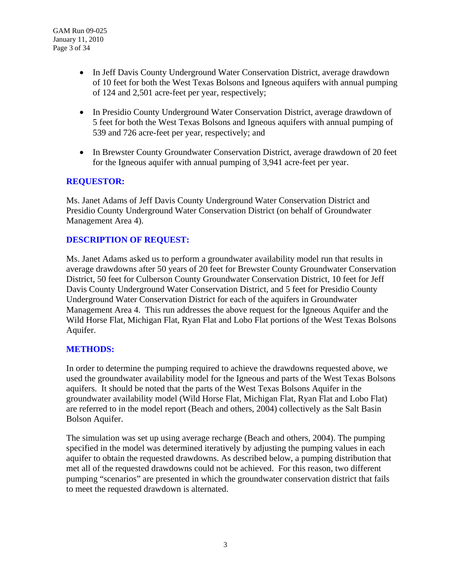- In Jeff Davis County Underground Water Conservation District, average drawdown of 10 feet for both the West Texas Bolsons and Igneous aquifers with annual pumping of 124 and 2,501 acre-feet per year, respectively;
- In Presidio County Underground Water Conservation District, average drawdown of 5 feet for both the West Texas Bolsons and Igneous aquifers with annual pumping of 539 and 726 acre-feet per year, respectively; and
- In Brewster County Groundwater Conservation District, average drawdown of 20 feet for the Igneous aquifer with annual pumping of 3,941 acre-feet per year.

## **REQUESTOR:**

Ms. Janet Adams of Jeff Davis County Underground Water Conservation District and Presidio County Underground Water Conservation District (on behalf of Groundwater Management Area 4).

## **DESCRIPTION OF REQUEST:**

Ms. Janet Adams asked us to perform a groundwater availability model run that results in average drawdowns after 50 years of 20 feet for Brewster County Groundwater Conservation District, 50 feet for Culberson County Groundwater Conservation District, 10 feet for Jeff Davis County Underground Water Conservation District, and 5 feet for Presidio County Underground Water Conservation District for each of the aquifers in Groundwater Management Area 4. This run addresses the above request for the Igneous Aquifer and the Wild Horse Flat, Michigan Flat, Ryan Flat and Lobo Flat portions of the West Texas Bolsons Aquifer.

### **METHODS:**

In order to determine the pumping required to achieve the drawdowns requested above, we used the groundwater availability model for the Igneous and parts of the West Texas Bolsons aquifers. It should be noted that the parts of the West Texas Bolsons Aquifer in the groundwater availability model (Wild Horse Flat, Michigan Flat, Ryan Flat and Lobo Flat) are referred to in the model report (Beach and others, 2004) collectively as the Salt Basin Bolson Aquifer.

The simulation was set up using average recharge (Beach and others, 2004). The pumping specified in the model was determined iteratively by adjusting the pumping values in each aquifer to obtain the requested drawdowns. As described below, a pumping distribution that met all of the requested drawdowns could not be achieved. For this reason, two different pumping "scenarios" are presented in which the groundwater conservation district that fails to meet the requested drawdown is alternated.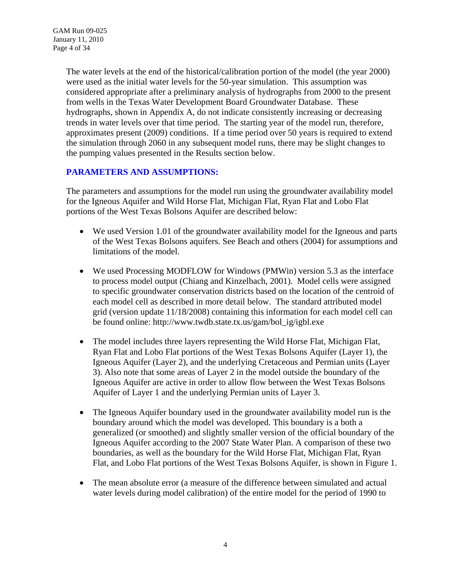The water levels at the end of the historical/calibration portion of the model (the year 2000) were used as the initial water levels for the 50-year simulation. This assumption was considered appropriate after a preliminary analysis of hydrographs from 2000 to the present from wells in the Texas Water Development Board Groundwater Database. These hydrographs, shown in Appendix A, do not indicate consistently increasing or decreasing trends in water levels over that time period. The starting year of the model run, therefore, approximates present (2009) conditions. If a time period over 50 years is required to extend the simulation through 2060 in any subsequent model runs, there may be slight changes to the pumping values presented in the Results section below.

## **PARAMETERS AND ASSUMPTIONS:**

The parameters and assumptions for the model run using the groundwater availability model for the Igneous Aquifer and Wild Horse Flat, Michigan Flat, Ryan Flat and Lobo Flat portions of the West Texas Bolsons Aquifer are described below:

- We used Version 1.01 of the groundwater availability model for the Igneous and parts of the West Texas Bolsons aquifers. See Beach and others (2004) for assumptions and limitations of the model.
- We used Processing MODFLOW for Windows (PMWin) version 5.3 as the interface to process model output (Chiang and Kinzelbach, 2001). Model cells were assigned to specific groundwater conservation districts based on the location of the centroid of each model cell as described in more detail below. The standard attributed model grid (version update 11/18/2008) containing this information for each model cell can be found online: http://www.twdb.state.tx.us/gam/bol\_ig/igbl.exe
- The model includes three layers representing the Wild Horse Flat, Michigan Flat, Ryan Flat and Lobo Flat portions of the West Texas Bolsons Aquifer (Layer 1), the Igneous Aquifer (Layer 2), and the underlying Cretaceous and Permian units (Layer 3). Also note that some areas of Layer 2 in the model outside the boundary of the Igneous Aquifer are active in order to allow flow between the West Texas Bolsons Aquifer of Layer 1 and the underlying Permian units of Layer 3.
- The Igneous Aquifer boundary used in the groundwater availability model run is the boundary around which the model was developed. This boundary is a both a generalized (or smoothed) and slightly smaller version of the official boundary of the Igneous Aquifer according to the 2007 State Water Plan. A comparison of these two boundaries, as well as the boundary for the Wild Horse Flat, Michigan Flat, Ryan Flat, and Lobo Flat portions of the West Texas Bolsons Aquifer, is shown in Figure 1.
- The mean absolute error (a measure of the difference between simulated and actual water levels during model calibration) of the entire model for the period of 1990 to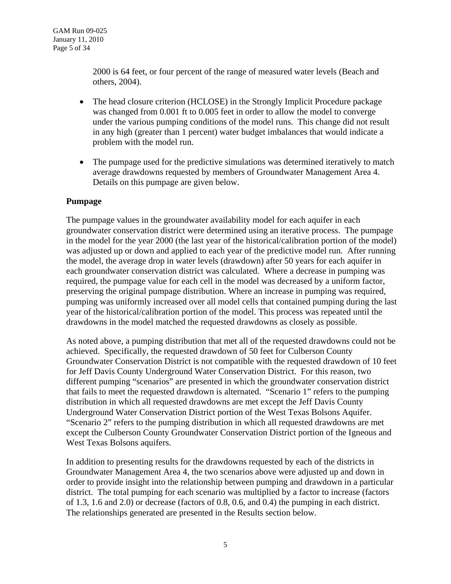2000 is 64 feet, or four percent of the range of measured water levels (Beach and others, 2004).

- The head closure criterion (HCLOSE) in the Strongly Implicit Procedure package was changed from 0.001 ft to 0.005 feet in order to allow the model to converge under the various pumping conditions of the model runs. This change did not result in any high (greater than 1 percent) water budget imbalances that would indicate a problem with the model run.
- The pumpage used for the predictive simulations was determined iteratively to match average drawdowns requested by members of Groundwater Management Area 4. Details on this pumpage are given below.

### **Pumpage**

The pumpage values in the groundwater availability model for each aquifer in each groundwater conservation district were determined using an iterative process. The pumpage in the model for the year 2000 (the last year of the historical/calibration portion of the model) was adjusted up or down and applied to each year of the predictive model run. After running the model, the average drop in water levels (drawdown) after 50 years for each aquifer in each groundwater conservation district was calculated. Where a decrease in pumping was required, the pumpage value for each cell in the model was decreased by a uniform factor, preserving the original pumpage distribution. Where an increase in pumping was required, pumping was uniformly increased over all model cells that contained pumping during the last year of the historical/calibration portion of the model. This process was repeated until the drawdowns in the model matched the requested drawdowns as closely as possible.

As noted above, a pumping distribution that met all of the requested drawdowns could not be achieved. Specifically, the requested drawdown of 50 feet for Culberson County Groundwater Conservation District is not compatible with the requested drawdown of 10 feet for Jeff Davis County Underground Water Conservation District. For this reason, two different pumping "scenarios" are presented in which the groundwater conservation district that fails to meet the requested drawdown is alternated. "Scenario 1" refers to the pumping distribution in which all requested drawdowns are met except the Jeff Davis County Underground Water Conservation District portion of the West Texas Bolsons Aquifer. "Scenario 2" refers to the pumping distribution in which all requested drawdowns are met except the Culberson County Groundwater Conservation District portion of the Igneous and West Texas Bolsons aquifers.

In addition to presenting results for the drawdowns requested by each of the districts in Groundwater Management Area 4, the two scenarios above were adjusted up and down in order to provide insight into the relationship between pumping and drawdown in a particular district. The total pumping for each scenario was multiplied by a factor to increase (factors of 1.3, 1.6 and 2.0) or decrease (factors of 0.8, 0.6, and 0.4) the pumping in each district. The relationships generated are presented in the Results section below.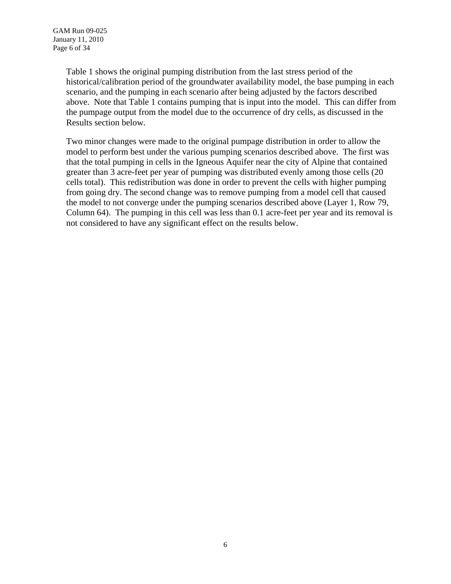Table 1 shows the original pumping distribution from the last stress period of the historical/calibration period of the groundwater availability model, the base pumping in each scenario, and the pumping in each scenario after being adjusted by the factors described above. Note that Table 1 contains pumping that is input into the model. This can differ from the pumpage output from the model due to the occurrence of dry cells, as discussed in the Results section below.

Two minor changes were made to the original pumpage distribution in order to allow the model to perform best under the various pumping scenarios described above. The first was that the total pumping in cells in the Igneous Aquifer near the city of Alpine that contained greater than 3 acre-feet per year of pumping was distributed evenly among those cells (20 cells total). This redistribution was done in order to prevent the cells with higher pumping from going dry. The second change was to remove pumping from a model cell that caused the model to not converge under the pumping scenarios described above (Layer 1, Row 79, Column 64). The pumping in this cell was less than 0.1 acre-feet per year and its removal is not considered to have any significant effect on the results below.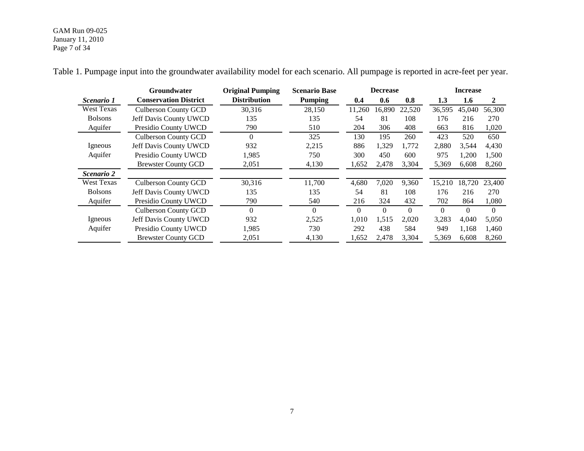#### GAM Run 09-025 January 11, 2010 Page 7 of 34

|                   | <b>Groundwater</b>           | <b>Original Pumping</b> | <b>Scenario Base</b> | <b>Decrease</b> |          |          | <b>Increase</b> |                  |          |
|-------------------|------------------------------|-------------------------|----------------------|-----------------|----------|----------|-----------------|------------------|----------|
| Scenario 1        | <b>Conservation District</b> | <b>Distribution</b>     | <b>Pumping</b>       | 0.4             | 0.6      | 0.8      | 1.3             | $1.6\phantom{0}$ | 2        |
| <b>West Texas</b> | <b>Culberson County GCD</b>  | 30,316                  | 28,150               | 11,260          | 16,890   | 22,520   | 36,595          | 45,040           | 56,300   |
| <b>Bolsons</b>    | Jeff Davis County UWCD       | 135                     | 135                  | 54              | 81       | 108      | 176             | 216              | 270      |
| Aquifer           | Presidio County UWCD         | 790                     | 510                  | 204             | 306      | 408      | 663             | 816              | 1,020    |
|                   | <b>Culberson County GCD</b>  | $\theta$                | 325                  | 130             | 195      | 260      | 423             | 520              | 650      |
| Igneous           | Jeff Davis County UWCD       | 932                     | 2,215                | 886             | 1,329    | 1,772    | 2,880           | 3,544            | 4,430    |
| Aquifer           | Presidio County UWCD         | 1,985                   | 750                  | 300             | 450      | 600      | 975             | 1,200            | 1,500    |
|                   | <b>Brewster County GCD</b>   | 2,051                   | 4,130                | 1,652           | 2,478    | 3,304    | 5,369           | 6,608            | 8,260    |
| <i>Scenario 2</i> |                              |                         |                      |                 |          |          |                 |                  |          |
| <b>West Texas</b> | <b>Culberson County GCD</b>  | 30,316                  | 11,700               | 4,680           | 7,020    | 9,360    | 15,210          | 18,720           | 23,400   |
| <b>Bolsons</b>    | Jeff Davis County UWCD       | 135                     | 135                  | 54              | 81       | 108      | 176             | 216              | 270      |
| Aquifer           | Presidio County UWCD         | 790                     | 540                  | 216             | 324      | 432      | 702             | 864              | 1,080    |
|                   | <b>Culberson County GCD</b>  | $\Omega$                | $\Omega$             | $\Omega$        | $\theta$ | $\Omega$ | $\theta$        | $\mathbf{0}$     | $\Omega$ |
| Igneous           | Jeff Davis County UWCD       | 932                     | 2,525                | 1,010           | 1,515    | 2,020    | 3,283           | 4,040            | 5,050    |
| Aquifer           | Presidio County UWCD         | 1,985                   | 730                  | 292             | 438      | 584      | 949             | 1,168            | 1,460    |
|                   | <b>Brewster County GCD</b>   | 2,051                   | 4,130                | 1,652           | 2,478    | 3,304    | 5,369           | 6,608            | 8,260    |

Table 1. Pumpage input into the groundwater availability model for each scenario. All pumpage is reported in acre-feet per year.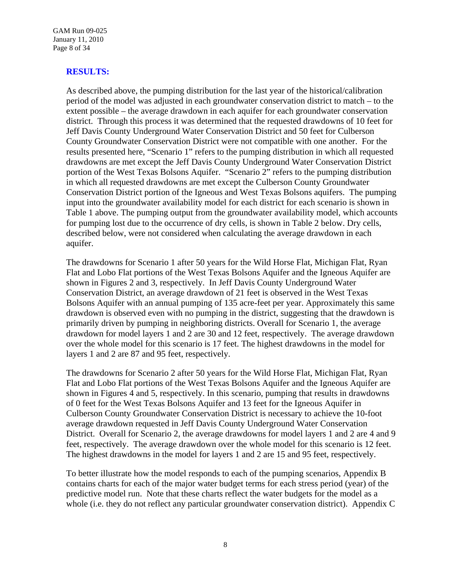GAM Run 09-025 January 11, 2010 Page 8 of 34

### **RESULTS:**

As described above, the pumping distribution for the last year of the historical/calibration period of the model was adjusted in each groundwater conservation district to match – to the extent possible – the average drawdown in each aquifer for each groundwater conservation district. Through this process it was determined that the requested drawdowns of 10 feet for Jeff Davis County Underground Water Conservation District and 50 feet for Culberson County Groundwater Conservation District were not compatible with one another. For the results presented here, "Scenario 1" refers to the pumping distribution in which all requested drawdowns are met except the Jeff Davis County Underground Water Conservation District portion of the West Texas Bolsons Aquifer. "Scenario 2" refers to the pumping distribution in which all requested drawdowns are met except the Culberson County Groundwater Conservation District portion of the Igneous and West Texas Bolsons aquifers. The pumping input into the groundwater availability model for each district for each scenario is shown in Table 1 above. The pumping output from the groundwater availability model, which accounts for pumping lost due to the occurrence of dry cells, is shown in Table 2 below. Dry cells, described below, were not considered when calculating the average drawdown in each aquifer.

The drawdowns for Scenario 1 after 50 years for the Wild Horse Flat, Michigan Flat, Ryan Flat and Lobo Flat portions of the West Texas Bolsons Aquifer and the Igneous Aquifer are shown in Figures 2 and 3, respectively. In Jeff Davis County Underground Water Conservation District, an average drawdown of 21 feet is observed in the West Texas Bolsons Aquifer with an annual pumping of 135 acre-feet per year. Approximately this same drawdown is observed even with no pumping in the district, suggesting that the drawdown is primarily driven by pumping in neighboring districts. Overall for Scenario 1, the average drawdown for model layers 1 and 2 are 30 and 12 feet, respectively. The average drawdown over the whole model for this scenario is 17 feet. The highest drawdowns in the model for layers 1 and 2 are 87 and 95 feet, respectively.

The drawdowns for Scenario 2 after 50 years for the Wild Horse Flat, Michigan Flat, Ryan Flat and Lobo Flat portions of the West Texas Bolsons Aquifer and the Igneous Aquifer are shown in Figures 4 and 5, respectively. In this scenario, pumping that results in drawdowns of 0 feet for the West Texas Bolsons Aquifer and 13 feet for the Igneous Aquifer in Culberson County Groundwater Conservation District is necessary to achieve the 10-foot average drawdown requested in Jeff Davis County Underground Water Conservation District. Overall for Scenario 2, the average drawdowns for model layers 1 and 2 are 4 and 9 feet, respectively. The average drawdown over the whole model for this scenario is 12 feet. The highest drawdowns in the model for layers 1 and 2 are 15 and 95 feet, respectively.

To better illustrate how the model responds to each of the pumping scenarios, Appendix B contains charts for each of the major water budget terms for each stress period (year) of the predictive model run. Note that these charts reflect the water budgets for the model as a whole (i.e. they do not reflect any particular groundwater conservation district). Appendix C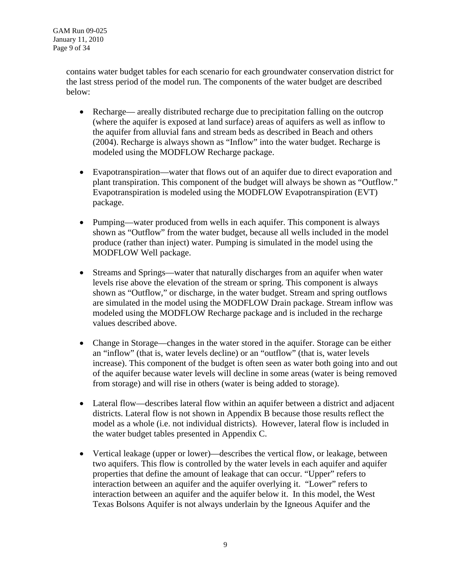contains water budget tables for each scenario for each groundwater conservation district for the last stress period of the model run. The components of the water budget are described below:

- Recharge— areally distributed recharge due to precipitation falling on the outcrop (where the aquifer is exposed at land surface) areas of aquifers as well as inflow to the aquifer from alluvial fans and stream beds as described in Beach and others (2004). Recharge is always shown as "Inflow" into the water budget. Recharge is modeled using the MODFLOW Recharge package.
- Evapotranspiration—water that flows out of an aquifer due to direct evaporation and plant transpiration. This component of the budget will always be shown as "Outflow." Evapotranspiration is modeled using the MODFLOW Evapotranspiration (EVT) package.
- Pumping—water produced from wells in each aquifer. This component is always shown as "Outflow" from the water budget, because all wells included in the model produce (rather than inject) water. Pumping is simulated in the model using the MODFLOW Well package.
- Streams and Springs—water that naturally discharges from an aquifer when water levels rise above the elevation of the stream or spring. This component is always shown as "Outflow," or discharge, in the water budget. Stream and spring outflows are simulated in the model using the MODFLOW Drain package. Stream inflow was modeled using the MODFLOW Recharge package and is included in the recharge values described above.
- Change in Storage—changes in the water stored in the aquifer. Storage can be either an "inflow" (that is, water levels decline) or an "outflow" (that is, water levels increase). This component of the budget is often seen as water both going into and out of the aquifer because water levels will decline in some areas (water is being removed from storage) and will rise in others (water is being added to storage).
- Lateral flow—describes lateral flow within an aquifer between a district and adjacent districts. Lateral flow is not shown in Appendix B because those results reflect the model as a whole (i.e. not individual districts). However, lateral flow is included in the water budget tables presented in Appendix C.
- Vertical leakage (upper or lower)—describes the vertical flow, or leakage, between two aquifers. This flow is controlled by the water levels in each aquifer and aquifer properties that define the amount of leakage that can occur. "Upper" refers to interaction between an aquifer and the aquifer overlying it. "Lower" refers to interaction between an aquifer and the aquifer below it. In this model, the West Texas Bolsons Aquifer is not always underlain by the Igneous Aquifer and the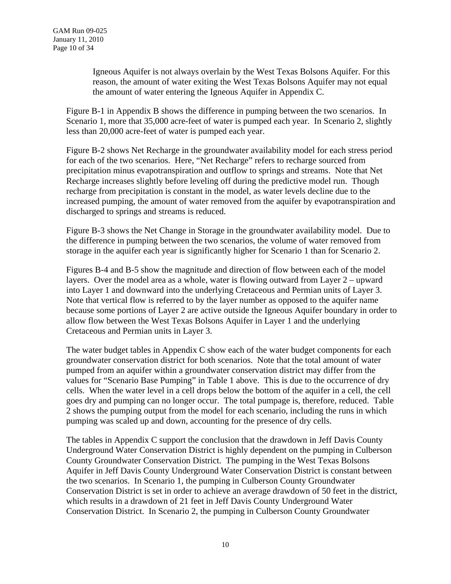Igneous Aquifer is not always overlain by the West Texas Bolsons Aquifer. For this reason, the amount of water exiting the West Texas Bolsons Aquifer may not equal the amount of water entering the Igneous Aquifer in Appendix C.

Figure B-1 in Appendix B shows the difference in pumping between the two scenarios. In Scenario 1, more that 35,000 acre-feet of water is pumped each year. In Scenario 2, slightly less than 20,000 acre-feet of water is pumped each year.

Figure B-2 shows Net Recharge in the groundwater availability model for each stress period for each of the two scenarios. Here, "Net Recharge" refers to recharge sourced from precipitation minus evapotranspiration and outflow to springs and streams. Note that Net Recharge increases slightly before leveling off during the predictive model run. Though recharge from precipitation is constant in the model, as water levels decline due to the increased pumping, the amount of water removed from the aquifer by evapotranspiration and discharged to springs and streams is reduced.

Figure B-3 shows the Net Change in Storage in the groundwater availability model. Due to the difference in pumping between the two scenarios, the volume of water removed from storage in the aquifer each year is significantly higher for Scenario 1 than for Scenario 2.

Figures B-4 and B-5 show the magnitude and direction of flow between each of the model layers. Over the model area as a whole, water is flowing outward from Layer 2 – upward into Layer 1 and downward into the underlying Cretaceous and Permian units of Layer 3. Note that vertical flow is referred to by the layer number as opposed to the aquifer name because some portions of Layer 2 are active outside the Igneous Aquifer boundary in order to allow flow between the West Texas Bolsons Aquifer in Layer 1 and the underlying Cretaceous and Permian units in Layer 3.

The water budget tables in Appendix C show each of the water budget components for each groundwater conservation district for both scenarios. Note that the total amount of water pumped from an aquifer within a groundwater conservation district may differ from the values for "Scenario Base Pumping" in Table 1 above. This is due to the occurrence of dry cells. When the water level in a cell drops below the bottom of the aquifer in a cell, the cell goes dry and pumping can no longer occur. The total pumpage is, therefore, reduced. Table 2 shows the pumping output from the model for each scenario, including the runs in which pumping was scaled up and down, accounting for the presence of dry cells.

The tables in Appendix C support the conclusion that the drawdown in Jeff Davis County Underground Water Conservation District is highly dependent on the pumping in Culberson County Groundwater Conservation District. The pumping in the West Texas Bolsons Aquifer in Jeff Davis County Underground Water Conservation District is constant between the two scenarios. In Scenario 1, the pumping in Culberson County Groundwater Conservation District is set in order to achieve an average drawdown of 50 feet in the district, which results in a drawdown of 21 feet in Jeff Davis County Underground Water Conservation District. In Scenario 2, the pumping in Culberson County Groundwater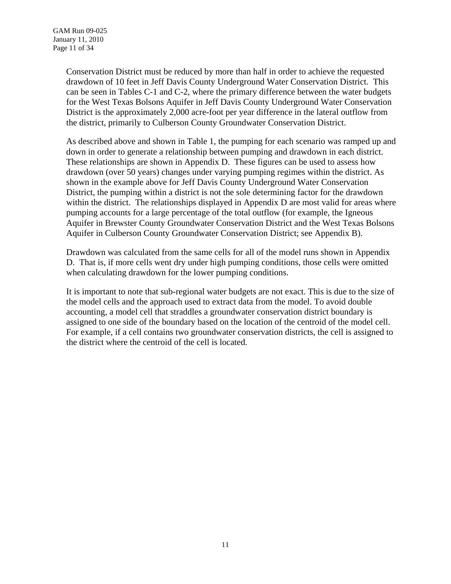Conservation District must be reduced by more than half in order to achieve the requested drawdown of 10 feet in Jeff Davis County Underground Water Conservation District. This can be seen in Tables C-1 and C-2, where the primary difference between the water budgets for the West Texas Bolsons Aquifer in Jeff Davis County Underground Water Conservation District is the approximately 2,000 acre-foot per year difference in the lateral outflow from the district, primarily to Culberson County Groundwater Conservation District.

As described above and shown in Table 1, the pumping for each scenario was ramped up and down in order to generate a relationship between pumping and drawdown in each district. These relationships are shown in Appendix D. These figures can be used to assess how drawdown (over 50 years) changes under varying pumping regimes within the district. As shown in the example above for Jeff Davis County Underground Water Conservation District, the pumping within a district is not the sole determining factor for the drawdown within the district. The relationships displayed in Appendix D are most valid for areas where pumping accounts for a large percentage of the total outflow (for example, the Igneous Aquifer in Brewster County Groundwater Conservation District and the West Texas Bolsons Aquifer in Culberson County Groundwater Conservation District; see Appendix B).

Drawdown was calculated from the same cells for all of the model runs shown in Appendix D. That is, if more cells went dry under high pumping conditions, those cells were omitted when calculating drawdown for the lower pumping conditions.

It is important to note that sub-regional water budgets are not exact. This is due to the size of the model cells and the approach used to extract data from the model. To avoid double accounting, a model cell that straddles a groundwater conservation district boundary is assigned to one side of the boundary based on the location of the centroid of the model cell. For example, if a cell contains two groundwater conservation districts, the cell is assigned to the district where the centroid of the cell is located.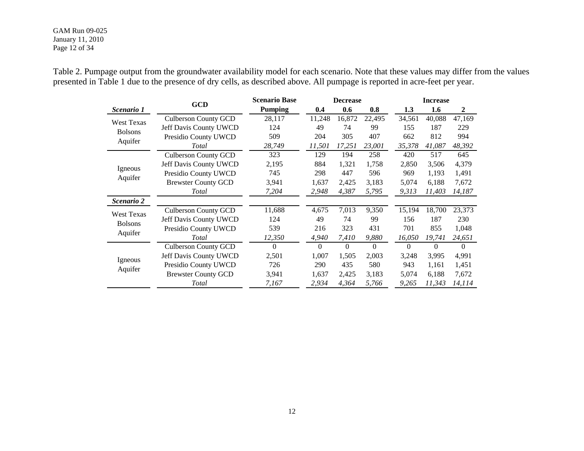#### GAM Run 09-025 January 11, 2010 Page 12 of 34

Table 2. Pumpage output from the groundwater availability model for each scenario. Note that these values may differ from the values presented in Table 1 due to the presence of dry cells, as described above. All pumpage is reported in acre-feet per year.

|                                     | <b>GCD</b>                  | <b>Scenario Base</b> | <b>Decrease</b> |                |          | <b>Increase</b> |          |              |  |
|-------------------------------------|-----------------------------|----------------------|-----------------|----------------|----------|-----------------|----------|--------------|--|
| Scenario 1                          |                             | <b>Pumping</b>       | 0.4             | 0.6            | 0.8      | 1.3             | 1.6      | $\mathbf{2}$ |  |
| <b>West Texas</b><br><b>Bolsons</b> | <b>Culberson County GCD</b> | 28,117               | 11,248          | 16,872         | 22,495   | 34,561          | 40,088   | 47,169       |  |
|                                     | Jeff Davis County UWCD      | 124                  | 49              | 74             | 99       | 155             | 187      | 229          |  |
|                                     | Presidio County UWCD        | 509                  | 204             | 305            | 407      | 662             | 812      | 994          |  |
| Aquifer                             | Total                       | 28,749               | 11,501          | 17,251         | 23,001   | 35,378          | 41,087   | 48,392       |  |
|                                     | <b>Culberson County GCD</b> | 323                  | 129             | 194            | 258      | 420             | 517      | 645          |  |
|                                     | Jeff Davis County UWCD      | 2,195                | 884             | 1,321          | 1,758    | 2,850           | 3,506    | 4,379        |  |
| Igneous<br>Aquifer                  | Presidio County UWCD        | 745                  | 298             | 447            | 596      | 969             | 1,193    | 1,491        |  |
|                                     | <b>Brewster County GCD</b>  | 3,941                | 1,637           | 2,425          | 3,183    | 5,074           | 6,188    | 7,672        |  |
|                                     | Total                       | 7,204                | 2,948           | 4,387          | 5,795    | 9,313           | 11,403   | 14,187       |  |
| Scenario 2                          |                             |                      |                 |                |          |                 |          |              |  |
| West Texas                          | <b>Culberson County GCD</b> | 11,688               | 4,675           | 7,013          | 9,350    | 15,194          | 18,700   | 23,373       |  |
|                                     | Jeff Davis County UWCD      | 124                  | 49              | 74             | 99       | 156             | 187      | 230          |  |
| <b>Bolsons</b><br>Aquifer           | Presidio County UWCD        | 539                  | 216             | 323            | 431      | 701             | 855      | 1,048        |  |
|                                     | Total                       | 12,350               | 4,940           | 7,410          | 9,880    | 16,050          | 19,741   | 24,651       |  |
| Igneous<br>Aquifer                  | <b>Culberson County GCD</b> | $\Omega$             | $\Omega$        | $\overline{0}$ | $\theta$ | $\Omega$        | $\theta$ | $\Omega$     |  |
|                                     | Jeff Davis County UWCD      | 2,501                | 1,007           | 1,505          | 2,003    | 3,248           | 3,995    | 4,991        |  |
|                                     | Presidio County UWCD        | 726                  | 290             | 435            | 580      | 943             | 1,161    | 1,451        |  |
|                                     | <b>Brewster County GCD</b>  | 3,941                | 1,637           | 2,425          | 3,183    | 5,074           | 6,188    | 7,672        |  |
|                                     | Total                       | 7,167                | 2,934           | 4,364          | 5,766    | 9,265           | 11,343   | 14,114       |  |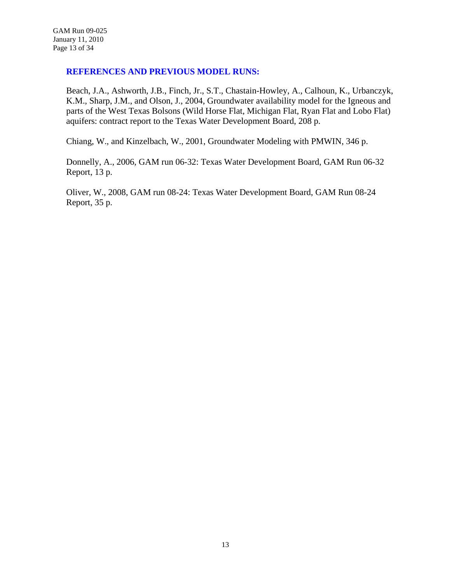### **REFERENCES AND PREVIOUS MODEL RUNS:**

Beach, J.A., Ashworth, J.B., Finch, Jr., S.T., Chastain-Howley, A., Calhoun, K., Urbanczyk, K.M., Sharp, J.M., and Olson, J., 2004, Groundwater availability model for the Igneous and parts of the West Texas Bolsons (Wild Horse Flat, Michigan Flat, Ryan Flat and Lobo Flat) aquifers: contract report to the Texas Water Development Board, 208 p.

Chiang, W., and Kinzelbach, W., 2001, Groundwater Modeling with PMWIN, 346 p.

Donnelly, A., 2006, GAM run 06-32: Texas Water Development Board, GAM Run 06-32 Report, 13 p.

Oliver, W., 2008, GAM run 08-24: Texas Water Development Board, GAM Run 08-24 Report, 35 p.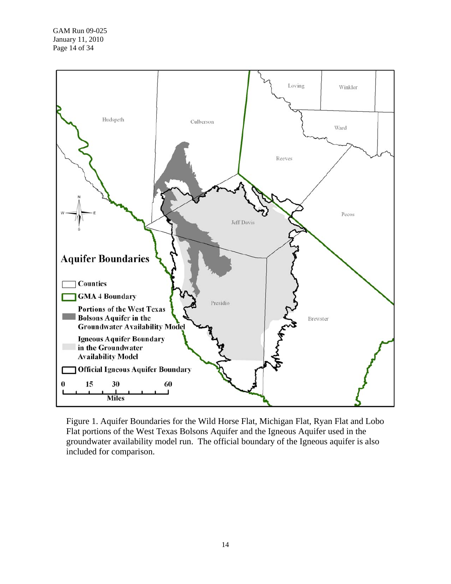

Figure 1. Aquifer Boundaries for the Wild Horse Flat, Michigan Flat, Ryan Flat and Lobo Flat portions of the West Texas Bolsons Aquifer and the Igneous Aquifer used in the groundwater availability model run. The official boundary of the Igneous aquifer is also included for comparison.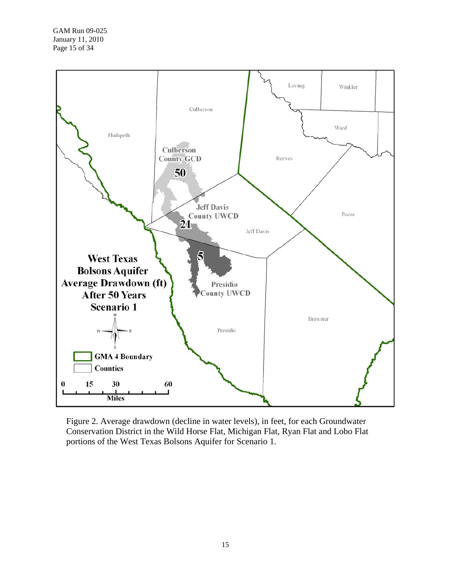

Figure 2. Average drawdown (decline in water levels), in feet, for each Groundwater Conservation District in the Wild Horse Flat, Michigan Flat, Ryan Flat and Lobo Flat portions of the West Texas Bolsons Aquifer for Scenario 1.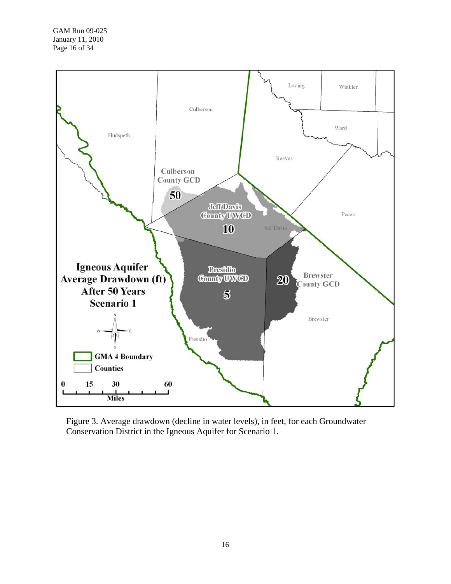

Figure 3. Average drawdown (decline in water levels), in feet, for each Groundwater Conservation District in the Igneous Aquifer for Scenario 1.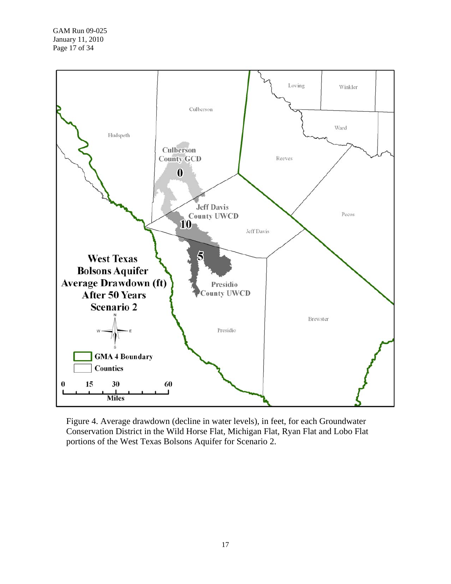

Figure 4. Average drawdown (decline in water levels), in feet, for each Groundwater Conservation District in the Wild Horse Flat, Michigan Flat, Ryan Flat and Lobo Flat portions of the West Texas Bolsons Aquifer for Scenario 2.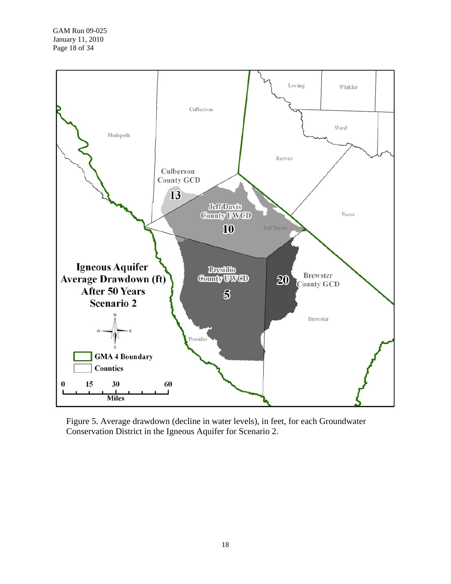

Figure 5. Average drawdown (decline in water levels), in feet, for each Groundwater Conservation District in the Igneous Aquifer for Scenario 2.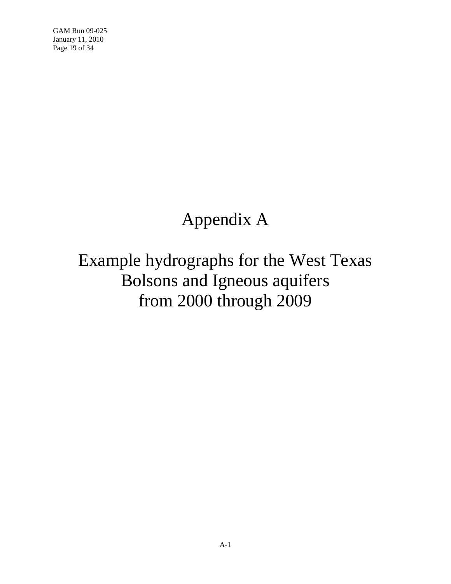GAM Run 09-025 January 11, 2010 Page 19 of 34

## Appendix A

# Example hydrographs for the West Texas Bolsons and Igneous aquifers from 2000 through 2009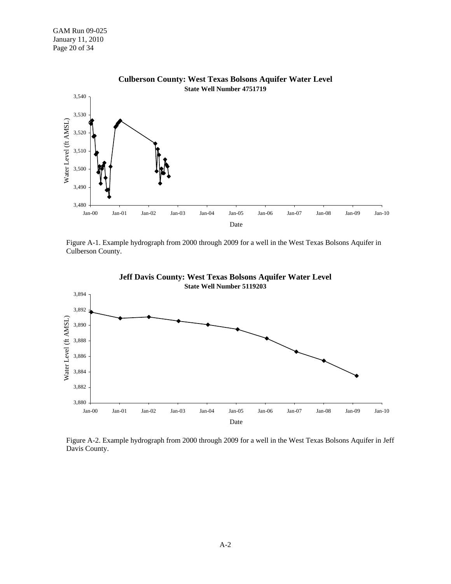GAM Run 09-025 January 11, 2010 Page 20 of 34



Figure A-1. Example hydrograph from 2000 through 2009 for a well in the West Texas Bolsons Aquifer in Culberson County.





Figure A-2. Example hydrograph from 2000 through 2009 for a well in the West Texas Bolsons Aquifer in Jeff Davis County.

A-2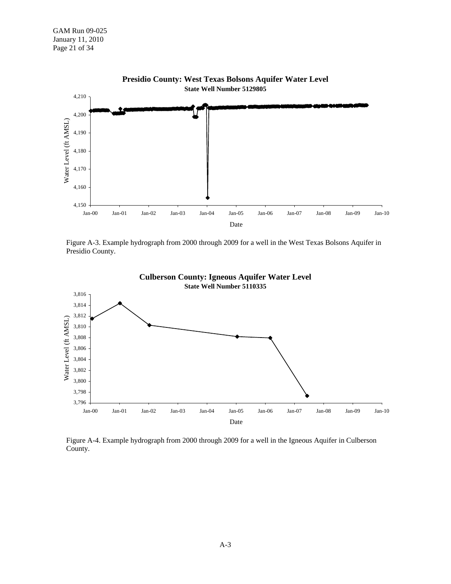

**Presidio County: West Texas Bolsons Aquifer Water Level**

Figure A-3. Example hydrograph from 2000 through 2009 for a well in the West Texas Bolsons Aquifer in Presidio County.





Figure A-4. Example hydrograph from 2000 through 2009 for a well in the Igneous Aquifer in Culberson County.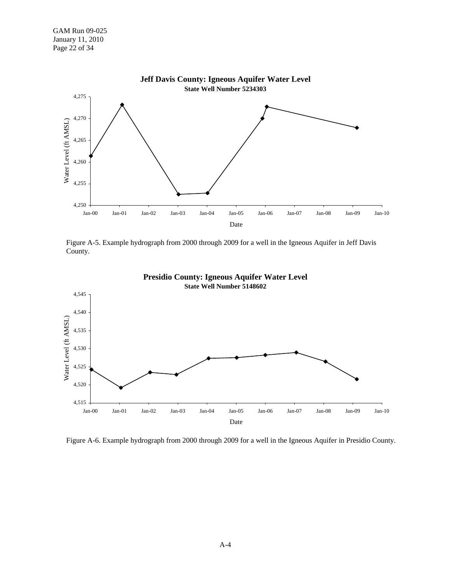

Figure A-5. Example hydrograph from 2000 through 2009 for a well in the Igneous Aquifer in Jeff Davis County.





Figure A-6. Example hydrograph from 2000 through 2009 for a well in the Igneous Aquifer in Presidio County.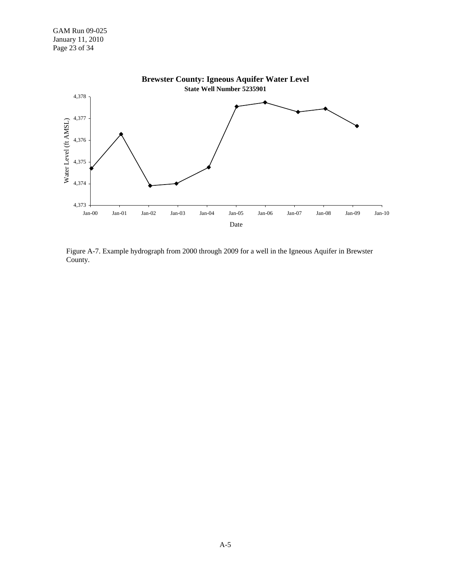

Figure A-7. Example hydrograph from 2000 through 2009 for a well in the Igneous Aquifer in Brewster County.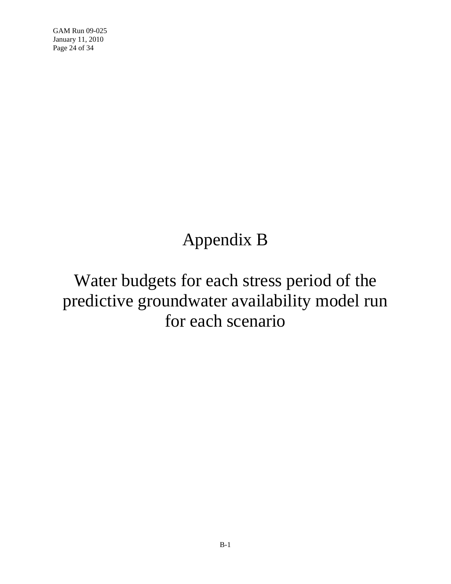GAM Run 09-025 January 11, 2010 Page 24 of 34

## Appendix B

## Water budgets for each stress period of the predictive groundwater availability model run for each scenario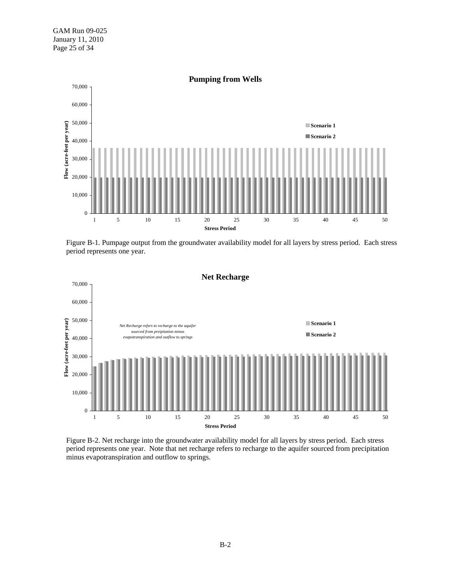

Figure B-1. Pumpage output from the groundwater availability model for all layers by stress period. Each stress period represents one year.



Figure B-2. Net recharge into the groundwater availability model for all layers by stress period. Each stress period represents one year. Note that net recharge refers to recharge to the aquifer sourced from precipitation minus evapotranspiration and outflow to springs.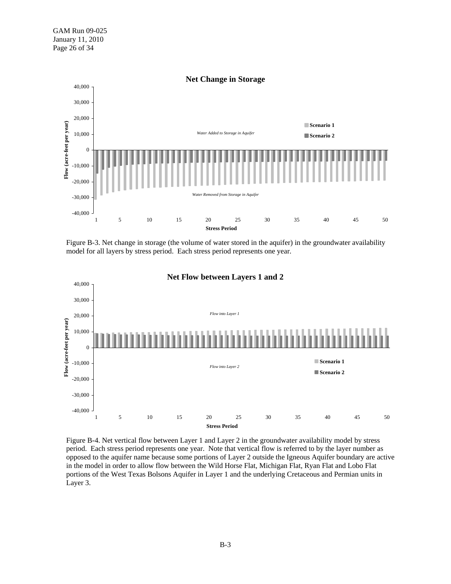

Figure B-3. Net change in storage (the volume of water stored in the aquifer) in the groundwater availability model for all layers by stress period. Each stress period represents one year.



Figure B-4. Net vertical flow between Layer 1 and Layer 2 in the groundwater availability model by stress period. Each stress period represents one year. Note that vertical flow is referred to by the layer number as opposed to the aquifer name because some portions of Layer 2 outside the Igneous Aquifer boundary are active in the model in order to allow flow between the Wild Horse Flat, Michigan Flat, Ryan Flat and Lobo Flat portions of the West Texas Bolsons Aquifer in Layer 1 and the underlying Cretaceous and Permian units in Layer 3.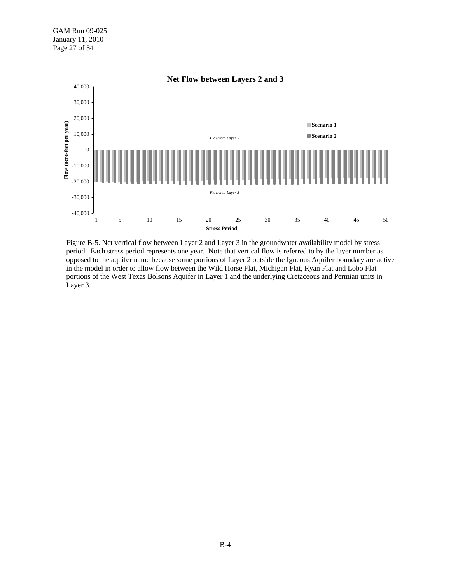

Figure B-5. Net vertical flow between Layer 2 and Layer 3 in the groundwater availability model by stress period. Each stress period represents one year. Note that vertical flow is referred to by the layer number as opposed to the aquifer name because some portions of Layer 2 outside the Igneous Aquifer boundary are active in the model in order to allow flow between the Wild Horse Flat, Michigan Flat, Ryan Flat and Lobo Flat portions of the West Texas Bolsons Aquifer in Layer 1 and the underlying Cretaceous and Permian units in Layer 3.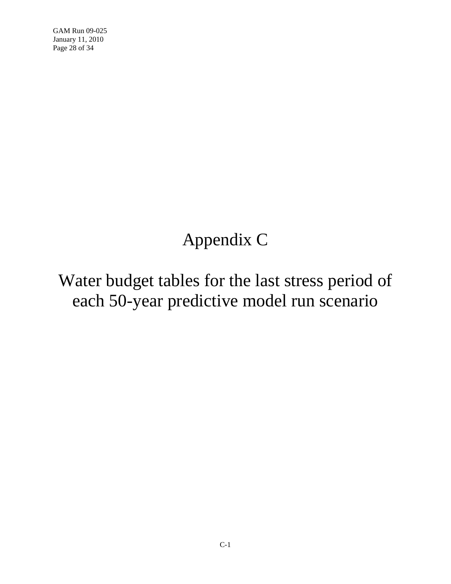GAM Run 09-025 January 11, 2010 Page 28 of 34

# Appendix C

## Water budget tables for the last stress period of each 50-year predictive model run scenario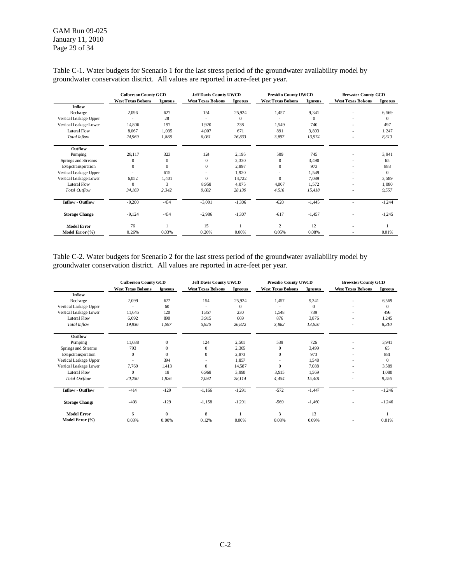GAM Run 09-025 January 11, 2010 Page 29 of 34

|                         | <b>Culberson County GCD</b> |                | <b>Jeff Davis County UWCD</b> |                | Presidio County UWCD      |                | <b>Brewster County GCD</b> |                |
|-------------------------|-----------------------------|----------------|-------------------------------|----------------|---------------------------|----------------|----------------------------|----------------|
|                         | <b>West Texas Bolsons</b>   | <b>Igneous</b> | <b>West Texas Bolsons</b>     | <b>Igneous</b> | <b>West Texas Bolsons</b> | <b>Igneous</b> | <b>West Texas Bolsons</b>  | <b>Igneous</b> |
| Inflow                  |                             |                |                               |                |                           |                |                            |                |
| Recharge                | 2,096                       | 627            | 154                           | 25,924         | 1,457                     | 9,341          |                            | 6,569          |
| Vertical Leakage Upper  |                             | 28             |                               | $\Omega$       |                           | $\Omega$       |                            | $\Omega$       |
| Vertical Leakage Lower  | 14,806                      | 197            | 1.920                         | 238            | 1.549                     | 740            | $\overline{a}$             | 497            |
| <b>Lateral Flow</b>     | 8,067                       | 1,035          | 4,007                         | 671            | 891                       | 3,893          | $\overline{a}$             | 1,247          |
| Total Inflow            | 24,969                      | 1,888          | 6,081                         | 26,833         | 3,897                     | 13,974         |                            | 8,313          |
| Outflow                 |                             |                |                               |                |                           |                |                            |                |
| Pumping                 | 28,117                      | 323            | 124                           | 2,195          | 509                       | 745            | $\overline{a}$             | 3,941          |
| Springs and Streams     | $\mathbf{0}$                | $\mathbf{0}$   | $\mathbf{0}$                  | 2,330          | $\mathbf{0}$              | 3,490          | $\overline{a}$             | 65             |
| Evapotranspiration      | $\Omega$                    | $\Omega$       | $\mathbf{0}$                  | 2,897          | $\mathbf{0}$              | 973            | $\overline{\phantom{0}}$   | 883            |
| Vertical Leakage Upper  |                             | 615            |                               | 1,920          |                           | 1,549          | $\overline{a}$             | $\mathbf{0}$   |
| Vertical Leakage Lower  | 6,052                       | 1,401          | $\mathbf{0}$                  | 14,722         | $\mathbf{0}$              | 7,089          | $\overline{a}$             | 3,589          |
| Lateral Flow            | $\Omega$                    | 3              | 8,958                         | 4,075          | 4.007                     | 1,572          | $\overline{a}$             | 1,080          |
| Total Outflow           | 34,169                      | 2,342          | 9,082                         | 28,139         | 4,516                     | 15,418         |                            | 9,557          |
| <b>Inflow - Outflow</b> | $-9,200$                    | $-454$         | $-3,001$                      | $-1,306$       | $-620$                    | $-1,445$       |                            | $-1,244$       |
| <b>Storage Change</b>   | $-9,124$                    | $-454$         | $-2.986$                      | $-1,307$       | $-617$                    | $-1,457$       |                            | $-1,245$       |
| <b>Model Error</b>      | 76                          |                | 15                            |                | 2                         | 12             |                            |                |
| Model Error $(\% )$     | 0.26%                       | 0.03%          | 0.20%                         | 0.00%          | 0.05%                     | 0.08%          |                            | 0.01%          |

Table C-1. Water budgets for Scenario 1 for the last stress period of the groundwater availability model by groundwater conservation district. All values are reported in acre-feet per year.

Table C-2. Water budgets for Scenario 2 for the last stress period of the groundwater availability model by groundwater conservation district. All values are reported in acre-feet per year.

|                         | <b>Culberson County GCD</b> |                  | <b>Jeff Davis County UWCD</b> |                | Presidio County UWCD      |              | <b>Brewster County GCD</b> |                |
|-------------------------|-----------------------------|------------------|-------------------------------|----------------|---------------------------|--------------|----------------------------|----------------|
|                         | <b>West Texas Bolsons</b>   | <b>Igneous</b>   | <b>West Texas Bolsons</b>     | <b>Igneous</b> | <b>West Texas Bolsons</b> | Igneous      | <b>West Texas Bolsons</b>  | <b>Igneous</b> |
| <b>Inflow</b>           |                             |                  |                               |                |                           |              |                            |                |
| Recharge                | 2,099                       | 627              | 154                           | 25,924         | 1,457                     | 9,341        |                            | 6,569          |
| Vertical Leakage Upper  |                             | 60               |                               | $\Omega$       |                           | $\mathbf{0}$ |                            | $\theta$       |
| Vertical Leakage Lower  | 11,645                      | 120              | 1,857                         | 230            | 1,548                     | 739          |                            | 496            |
| Lateral Flow            | 6,092                       | 890              | 3.915                         | 669            | 876                       | 3,876        |                            | 1,245          |
| Total Inflow            | 19,836                      | 1,697            | 5,926                         | 26,822         | 3,882                     | 13,956       |                            | 8,310          |
| Outflow                 |                             |                  |                               |                |                           |              |                            |                |
| Pumping                 | 11,688                      | $\mathbf{0}$     | 124                           | 2,501          | 539                       | 726          |                            | 3,941          |
| Springs and Streams     | 793                         | $\mathbf{0}$     | $\mathbf{0}$                  | 2,305          | $\mathbf{0}$              | 3,499        |                            | 65             |
| Evapotranspiration      | $\Omega$                    | $\Omega$         | $\Omega$                      | 2,873          | $\Omega$                  | 973          |                            | 881            |
| Vertical Leakage Upper  |                             | 394              |                               | 1,857          |                           | 1,548        |                            | $\mathbf{0}$   |
| Vertical Leakage Lower  | 7,769                       | 1,413            | $\Omega$                      | 14,587         | $\Omega$                  | 7,088        |                            | 3,589          |
| Lateral Flow            | $\Omega$                    | 18               | 6,968                         | 3,990          | 3,915                     | 1,569        |                            | 1,080          |
| Total Outflow           | 20,250                      | 1,826            | 7,092                         | 28,114         | 4,454                     | 15,404       |                            | 9,556          |
| <b>Inflow - Outflow</b> | $-414$                      | $-129$           | $-1,166$                      | $-1,291$       | $-572$                    | $-1,447$     |                            | $-1,246$       |
| <b>Storage Change</b>   | $-408$                      | $-129$           | $-1,158$                      | $-1,291$       | $-569$                    | $-1,460$     |                            | $-1,246$       |
| <b>Model Error</b>      | 6                           | $\boldsymbol{0}$ | 8                             |                | 3                         | 13           |                            |                |
| Model Error (%)         | 0.03%                       | 0.00%            | 0.12%                         | 0.00%          | 0.08%                     | 0.09%        |                            | 0.01%          |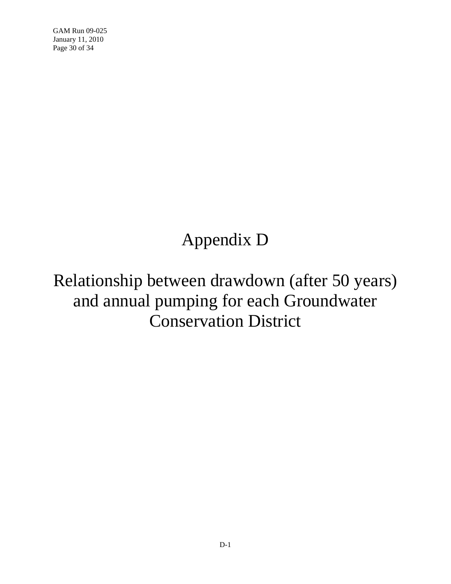GAM Run 09-025 January 11, 2010 Page 30 of 34

# Appendix D

Relationship between drawdown (after 50 years) and annual pumping for each Groundwater Conservation District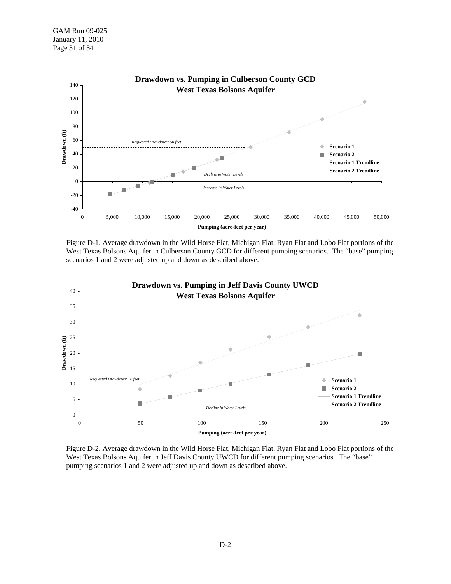

Figure D-1. Average drawdown in the Wild Horse Flat, Michigan Flat, Ryan Flat and Lobo Flat portions of the West Texas Bolsons Aquifer in Culberson County GCD for different pumping scenarios. The "base" pumping scenarios 1 and 2 were adjusted up and down as described above.



Figure D-2. Average drawdown in the Wild Horse Flat, Michigan Flat, Ryan Flat and Lobo Flat portions of the West Texas Bolsons Aquifer in Jeff Davis County UWCD for different pumping scenarios. The "base" pumping scenarios 1 and 2 were adjusted up and down as described above.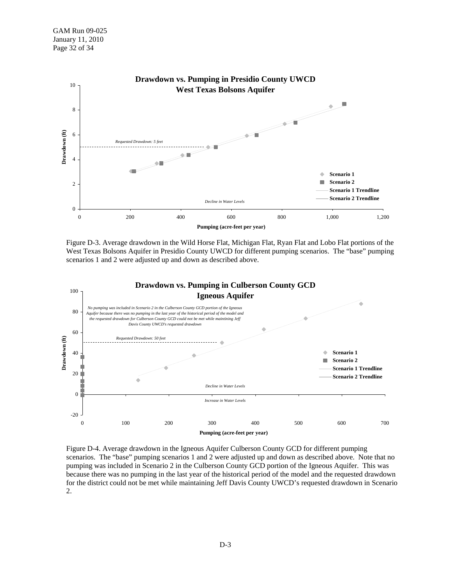

Figure D-3. Average drawdown in the Wild Horse Flat, Michigan Flat, Ryan Flat and Lobo Flat portions of the West Texas Bolsons Aquifer in Presidio County UWCD for different pumping scenarios. The "base" pumping scenarios 1 and 2 were adjusted up and down as described above.



Figure D-4. Average drawdown in the Igneous Aquifer Culberson County GCD for different pumping scenarios. The "base" pumping scenarios 1 and 2 were adjusted up and down as described above. Note that no pumping was included in Scenario 2 in the Culberson County GCD portion of the Igneous Aquifer. This was because there was no pumping in the last year of the historical period of the model and the requested drawdown for the district could not be met while maintaining Jeff Davis County UWCD's requested drawdown in Scenario 2.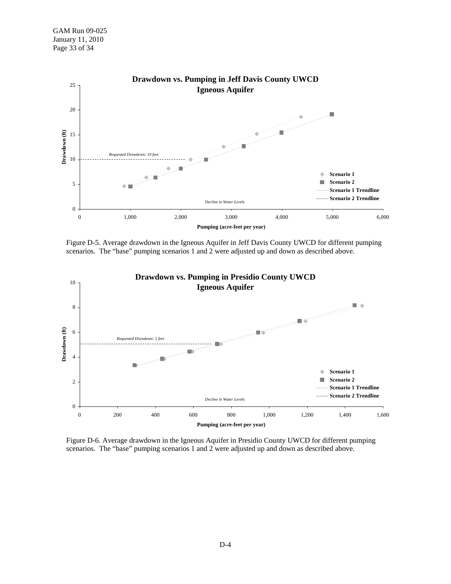

Figure D-5. Average drawdown in the Igneous Aquifer in Jeff Davis County UWCD for different pumping scenarios. The "base" pumping scenarios 1 and 2 were adjusted up and down as described above.



Figure D-6. Average drawdown in the Igneous Aquifer in Presidio County UWCD for different pumping scenarios. The "base" pumping scenarios 1 and 2 were adjusted up and down as described above.